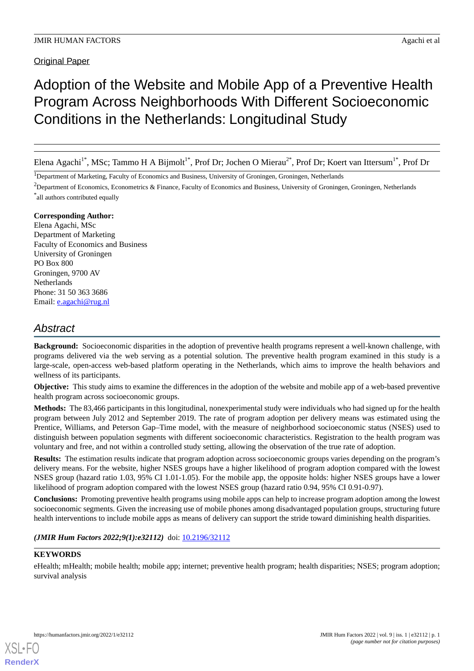# Adoption of the Website and Mobile App of a Preventive Health Program Across Neighborhoods With Different Socioeconomic Conditions in the Netherlands: Longitudinal Study

Elena Agachi<sup>1\*</sup>, MSc; Tammo H A Bijmolt<sup>1\*</sup>, Prof Dr; Jochen O Mierau<sup>2\*</sup>, Prof Dr; Koert van Ittersum<sup>1\*</sup>, Prof Dr

<sup>1</sup>Department of Marketing, Faculty of Economics and Business, University of Groningen, Groningen, Netherlands

<sup>2</sup>Department of Economics, Econometrics & Finance, Faculty of Economics and Business, University of Groningen, Groningen, Netherlands \* all authors contributed equally

## **Corresponding Author:**

Elena Agachi, MSc Department of Marketing Faculty of Economics and Business University of Groningen PO Box 800 Groningen, 9700 AV **Netherlands** Phone: 31 50 363 3686 Email: [e.agachi@rug.nl](mailto:e.agachi@rug.nl)

# *Abstract*

**Background:** Socioeconomic disparities in the adoption of preventive health programs represent a well-known challenge, with programs delivered via the web serving as a potential solution. The preventive health program examined in this study is a large-scale, open-access web-based platform operating in the Netherlands, which aims to improve the health behaviors and wellness of its participants.

**Objective:** This study aims to examine the differences in the adoption of the website and mobile app of a web-based preventive health program across socioeconomic groups.

**Methods:** The 83,466 participants in this longitudinal, nonexperimental study were individuals who had signed up for the health program between July 2012 and September 2019. The rate of program adoption per delivery means was estimated using the Prentice, Williams, and Peterson Gap–Time model, with the measure of neighborhood socioeconomic status (NSES) used to distinguish between population segments with different socioeconomic characteristics. Registration to the health program was voluntary and free, and not within a controlled study setting, allowing the observation of the true rate of adoption.

**Results:** The estimation results indicate that program adoption across socioeconomic groups varies depending on the program's delivery means. For the website, higher NSES groups have a higher likelihood of program adoption compared with the lowest NSES group (hazard ratio 1.03, 95% CI 1.01-1.05). For the mobile app, the opposite holds: higher NSES groups have a lower likelihood of program adoption compared with the lowest NSES group (hazard ratio 0.94, 95% CI 0.91-0.97).

**Conclusions:** Promoting preventive health programs using mobile apps can help to increase program adoption among the lowest socioeconomic segments. Given the increasing use of mobile phones among disadvantaged population groups, structuring future health interventions to include mobile apps as means of delivery can support the stride toward diminishing health disparities.

(JMIR Hum Factors 2022;9(1):e32112) doi: [10.2196/32112](http://dx.doi.org/10.2196/32112)

# **KEYWORDS**

[XSL](http://www.w3.org/Style/XSL)•FO **[RenderX](http://www.renderx.com/)**

eHealth; mHealth; mobile health; mobile app; internet; preventive health program; health disparities; NSES; program adoption; survival analysis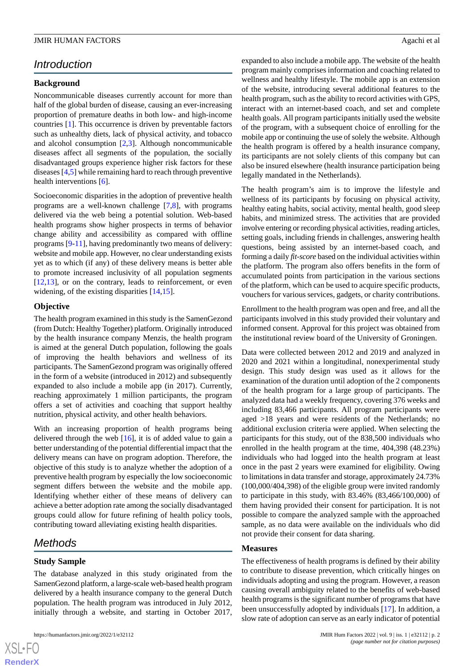# *Introduction*

#### **Background**

Noncommunicable diseases currently account for more than half of the global burden of disease, causing an ever-increasing proportion of premature deaths in both low- and high-income countries [\[1](#page-7-0)]. This occurrence is driven by preventable factors such as unhealthy diets, lack of physical activity, and tobacco and alcohol consumption [[2](#page-7-1)[,3](#page-7-2)]. Although noncommunicable diseases affect all segments of the population, the socially disadvantaged groups experience higher risk factors for these diseases [\[4,](#page-8-0)[5\]](#page-8-1) while remaining hard to reach through preventive health interventions [\[6](#page-8-2)].

Socioeconomic disparities in the adoption of preventive health programs are a well-known challenge [[7,](#page-8-3)[8](#page-8-4)], with programs delivered via the web being a potential solution. Web-based health programs show higher prospects in terms of behavior change ability and accessibility as compared with offline programs [[9-](#page-8-5)[11](#page-8-6)], having predominantly two means of delivery: website and mobile app. However, no clear understanding exists yet as to which (if any) of these delivery means is better able to promote increased inclusivity of all population segments  $[12,13]$  $[12,13]$  $[12,13]$  $[12,13]$ , or on the contrary, leads to reinforcement, or even widening, of the existing disparities [\[14](#page-8-9),[15\]](#page-8-10).

#### **Objective**

The health program examined in this study is the SamenGezond (from Dutch: Healthy Together) platform. Originally introduced by the health insurance company Menzis, the health program is aimed at the general Dutch population, following the goals of improving the health behaviors and wellness of its participants. The SamenGezond program was originally offered in the form of a website (introduced in 2012) and subsequently expanded to also include a mobile app (in 2017). Currently, reaching approximately 1 million participants, the program offers a set of activities and coaching that support healthy nutrition, physical activity, and other health behaviors.

With an increasing proportion of health programs being delivered through the web [\[16](#page-8-11)], it is of added value to gain a better understanding of the potential differential impact that the delivery means can have on program adoption. Therefore, the objective of this study is to analyze whether the adoption of a preventive health program by especially the low socioeconomic segment differs between the website and the mobile app. Identifying whether either of these means of delivery can achieve a better adoption rate among the socially disadvantaged groups could allow for future refining of health policy tools, contributing toward alleviating existing health disparities.

# *Methods*

#### **Study Sample**

The database analyzed in this study originated from the SamenGezond platform, a large-scale web-based health program delivered by a health insurance company to the general Dutch population. The health program was introduced in July 2012, initially through a website, and starting in October 2017,

expanded to also include a mobile app. The website of the health program mainly comprises information and coaching related to wellness and healthy lifestyle. The mobile app is an extension of the website, introducing several additional features to the health program, such as the ability to record activities with GPS, interact with an internet-based coach, and set and complete health goals. All program participants initially used the website of the program, with a subsequent choice of enrolling for the mobile app or continuing the use of solely the website. Although the health program is offered by a health insurance company, its participants are not solely clients of this company but can also be insured elsewhere (health insurance participation being legally mandated in the Netherlands).

The health program's aim is to improve the lifestyle and wellness of its participants by focusing on physical activity, healthy eating habits, social activity, mental health, good sleep habits, and minimized stress. The activities that are provided involve entering or recording physical activities, reading articles, setting goals, including friends in challenges, answering health questions, being assisted by an internet-based coach, and forming a daily *fit-score* based on the individual activities within the platform. The program also offers benefits in the form of accumulated points from participation in the various sections of the platform, which can be used to acquire specific products, vouchers for various services, gadgets, or charity contributions.

Enrollment to the health program was open and free, and all the participants involved in this study provided their voluntary and informed consent. Approval for this project was obtained from the institutional review board of the University of Groningen.

Data were collected between 2012 and 2019 and analyzed in 2020 and 2021 within a longitudinal, nonexperimental study design. This study design was used as it allows for the examination of the duration until adoption of the 2 components of the health program for a large group of participants. The analyzed data had a weekly frequency, covering 376 weeks and including 83,466 participants. All program participants were aged >18 years and were residents of the Netherlands; no additional exclusion criteria were applied. When selecting the participants for this study, out of the 838,500 individuals who enrolled in the health program at the time, 404,398 (48.23%) individuals who had logged into the health program at least once in the past 2 years were examined for eligibility. Owing to limitations in data transfer and storage, approximately 24.73% (100,000/404,398) of the eligible group were invited randomly to participate in this study, with 83.46% (83,466/100,000) of them having provided their consent for participation. It is not possible to compare the analyzed sample with the approached sample, as no data were available on the individuals who did not provide their consent for data sharing.

#### **Measures**

The effectiveness of health programs is defined by their ability to contribute to disease prevention, which critically hinges on individuals adopting and using the program. However, a reason causing overall ambiguity related to the benefits of web-based health programs is the significant number of programs that have been unsuccessfully adopted by individuals [\[17](#page-8-12)]. In addition, a slow rate of adoption can serve as an early indicator of potential

 $XS$  $\cdot$ FC **[RenderX](http://www.renderx.com/)**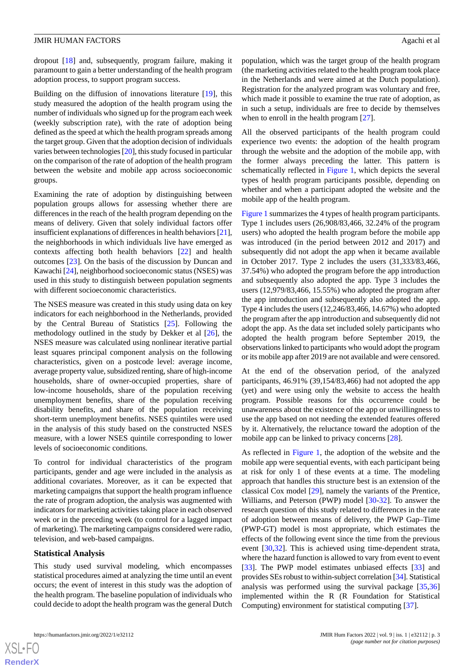dropout [[18\]](#page-8-13) and, subsequently, program failure, making it paramount to gain a better understanding of the health program adoption process, to support program success.

Building on the diffusion of innovations literature [\[19](#page-8-14)], this study measured the adoption of the health program using the number of individuals who signed up for the program each week (weekly subscription rate), with the rate of adoption being defined as the speed at which the health program spreads among the target group. Given that the adoption decision of individuals varies between technologies [\[20](#page-8-15)], this study focused in particular on the comparison of the rate of adoption of the health program between the website and mobile app across socioeconomic groups.

Examining the rate of adoption by distinguishing between population groups allows for assessing whether there are differences in the reach of the health program depending on the means of delivery. Given that solely individual factors offer insufficient explanations of differences in health behaviors [\[21\]](#page-8-16), the neighborhoods in which individuals live have emerged as contexts affecting both health behaviors [[22\]](#page-8-17) and health outcomes [\[23](#page-8-18)]. On the basis of the discussion by Duncan and Kawachi [[24\]](#page-8-19), neighborhood socioeconomic status (NSES) was used in this study to distinguish between population segments with different socioeconomic characteristics.

The NSES measure was created in this study using data on key indicators for each neighborhood in the Netherlands, provided by the Central Bureau of Statistics [[25\]](#page-8-20). Following the methodology outlined in the study by Dekker et al [[26\]](#page-8-21), the NSES measure was calculated using nonlinear iterative partial least squares principal component analysis on the following characteristics, given on a postcode level: average income, average property value, subsidized renting, share of high-income households, share of owner-occupied properties, share of low-income households, share of the population receiving unemployment benefits, share of the population receiving disability benefits, and share of the population receiving short-term unemployment benefits. NSES quintiles were used in the analysis of this study based on the constructed NSES measure, with a lower NSES quintile corresponding to lower levels of socioeconomic conditions.

To control for individual characteristics of the program participants, gender and age were included in the analysis as additional covariates. Moreover, as it can be expected that marketing campaigns that support the health program influence the rate of program adoption, the analysis was augmented with indicators for marketing activities taking place in each observed week or in the preceding week (to control for a lagged impact of marketing). The marketing campaigns considered were radio, television, and web-based campaigns.

#### **Statistical Analysis**

This study used survival modeling, which encompasses statistical procedures aimed at analyzing the time until an event occurs; the event of interest in this study was the adoption of the health program. The baseline population of individuals who could decide to adopt the health program was the general Dutch

population, which was the target group of the health program (the marketing activities related to the health program took place in the Netherlands and were aimed at the Dutch population). Registration for the analyzed program was voluntary and free, which made it possible to examine the true rate of adoption, as in such a setup, individuals are free to decide by themselves when to enroll in the health program [[27\]](#page-8-22).

All the observed participants of the health program could experience two events: the adoption of the health program through the website and the adoption of the mobile app, with the former always preceding the latter. This pattern is schematically reflected in [Figure 1,](#page-3-0) which depicts the several types of health program participants possible, depending on whether and when a participant adopted the website and the mobile app of the health program.

[Figure 1](#page-3-0) summarizes the 4 types of health program participants. Type 1 includes users (26,908/83,466, 32.24% of the program users) who adopted the health program before the mobile app was introduced (in the period between 2012 and 2017) and subsequently did not adopt the app when it became available in October 2017. Type 2 includes the users (31,333/83,466, 37.54%) who adopted the program before the app introduction and subsequently also adopted the app. Type 3 includes the users (12,979/83,466, 15.55%) who adopted the program after the app introduction and subsequently also adopted the app. Type 4 includes the users (12,246/83,466, 14.67%) who adopted the program after the app introduction and subsequently did not adopt the app. As the data set included solely participants who adopted the health program before September 2019, the observations linked to participants who would adopt the program or its mobile app after 2019 are not available and were censored.

At the end of the observation period, of the analyzed participants, 46.91% (39,154/83,466) had not adopted the app (yet) and were using only the website to access the health program. Possible reasons for this occurrence could be unawareness about the existence of the app or unwillingness to use the app based on not needing the extended features offered by it. Alternatively, the reluctance toward the adoption of the mobile app can be linked to privacy concerns [\[28](#page-8-23)].

As reflected in [Figure 1,](#page-3-0) the adoption of the website and the mobile app were sequential events, with each participant being at risk for only 1 of these events at a time. The modeling approach that handles this structure best is an extension of the classical Cox model [\[29](#page-8-24)], namely the variants of the Prentice, Williams, and Peterson (PWP) model [\[30](#page-8-25)[-32](#page-9-0)]. To answer the research question of this study related to differences in the rate of adoption between means of delivery, the PWP Gap–Time (PWP-GT) model is most appropriate, which estimates the effects of the following event since the time from the previous event [\[30](#page-8-25),[32\]](#page-9-0). This is achieved using time-dependent strata, where the hazard function is allowed to vary from event to event [[33\]](#page-9-1). The PWP model estimates unbiased effects [\[33](#page-9-1)] and provides SEs robust to within-subject correlation [\[34\]](#page-9-2). Statistical analysis was performed using the survival package [[35](#page-9-3)[,36](#page-9-4)] implemented within the R (R Foundation for Statistical Computing) environment for statistical computing [\[37](#page-9-5)].

 $XS$  $\cdot$ FC **[RenderX](http://www.renderx.com/)**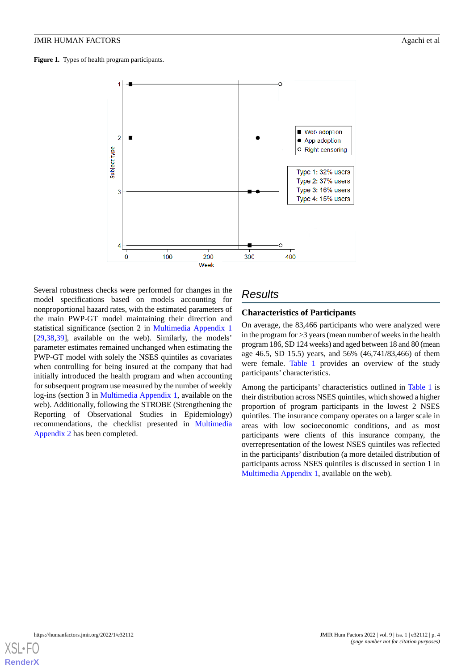<span id="page-3-0"></span>**Figure 1.** Types of health program participants.

 $\overline{2}$ 

3

 $\Omega$ 

100

200

Week

subject type



Several robustness checks were performed for changes in the model specifications based on models accounting for nonproportional hazard rates, with the estimated parameters of the main PWP-GT model maintaining their direction and statistical significance (section 2 in [Multimedia Appendix 1](#page-7-3) [[29](#page-8-24)[,38](#page-9-6),[39\]](#page-9-7), available on the web). Similarly, the models' parameter estimates remained unchanged when estimating the PWP-GT model with solely the NSES quintiles as covariates when controlling for being insured at the company that had initially introduced the health program and when accounting for subsequent program use measured by the number of weekly log-ins (section 3 in [Multimedia Appendix 1,](#page-7-3) available on the web). Additionally, following the STROBE (Strengthening the Reporting of Observational Studies in Epidemiology) recommendations, the checklist presented in [Multimedia](#page-7-4) [Appendix 2](#page-7-4) has been completed.

# *Results*

300

## **Characteristics of Participants**

400

Type 4: 15% users

On average, the 83,466 participants who were analyzed were in the program for >3 years (mean number of weeks in the health program 186, SD 124 weeks) and aged between 18 and 80 (mean age 46.5, SD 15.5) years, and 56% (46,741/83,466) of them were female. [Table 1](#page-4-0) provides an overview of the study participants' characteristics.

Among the participants' characteristics outlined in [Table 1](#page-4-0) is their distribution across NSES quintiles, which showed a higher proportion of program participants in the lowest 2 NSES quintiles. The insurance company operates on a larger scale in areas with low socioeconomic conditions, and as most participants were clients of this insurance company, the overrepresentation of the lowest NSES quintiles was reflected in the participants' distribution (a more detailed distribution of participants across NSES quintiles is discussed in section 1 in [Multimedia Appendix 1,](#page-7-3) available on the web).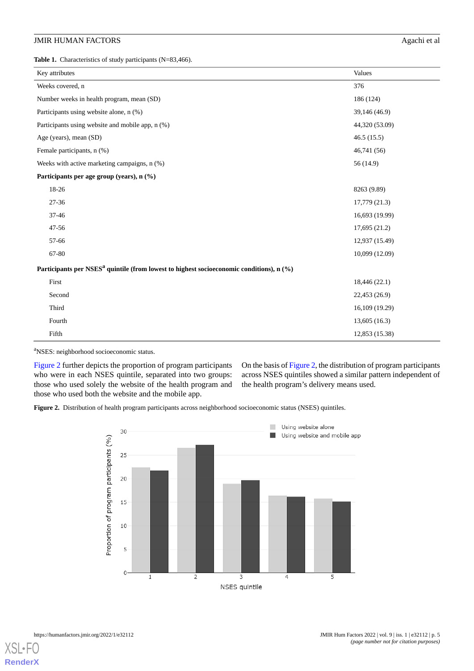<span id="page-4-0"></span>Table 1. Characteristics of study participants (N=83,466).

| Key attributes                                                                                       | Values         |  |  |  |  |  |
|------------------------------------------------------------------------------------------------------|----------------|--|--|--|--|--|
| Weeks covered, n                                                                                     | 376            |  |  |  |  |  |
| Number weeks in health program, mean (SD)                                                            | 186 (124)      |  |  |  |  |  |
| Participants using website alone, n (%)                                                              | 39,146 (46.9)  |  |  |  |  |  |
| Participants using website and mobile app, n (%)                                                     | 44,320 (53.09) |  |  |  |  |  |
| Age (years), mean (SD)                                                                               | 46.5(15.5)     |  |  |  |  |  |
| Female participants, n (%)                                                                           | 46,741 (56)    |  |  |  |  |  |
| Weeks with active marketing campaigns, n (%)                                                         | 56 (14.9)      |  |  |  |  |  |
| Participants per age group (years), n (%)                                                            |                |  |  |  |  |  |
| 18-26                                                                                                | 8263 (9.89)    |  |  |  |  |  |
| 27-36                                                                                                | 17,779 (21.3)  |  |  |  |  |  |
| 37-46                                                                                                | 16,693 (19.99) |  |  |  |  |  |
| 47-56                                                                                                | 17,695(21.2)   |  |  |  |  |  |
| 57-66                                                                                                | 12,937 (15.49) |  |  |  |  |  |
| 67-80                                                                                                | 10,099 (12.09) |  |  |  |  |  |
| Participants per NSES <sup>a</sup> quintile (from lowest to highest socioeconomic conditions), n (%) |                |  |  |  |  |  |
| First                                                                                                | 18,446 (22.1)  |  |  |  |  |  |
| Second                                                                                               | 22,453 (26.9)  |  |  |  |  |  |
| Third                                                                                                | 16,109 (19.29) |  |  |  |  |  |
| Fourth                                                                                               | 13,605(16.3)   |  |  |  |  |  |
| Fifth                                                                                                | 12,853 (15.38) |  |  |  |  |  |

<sup>a</sup>NSES: neighborhood socioeconomic status.

<span id="page-4-1"></span>[Figure 2](#page-4-1) further depicts the proportion of program participants who were in each NSES quintile, separated into two groups: those who used solely the website of the health program and those who used both the website and the mobile app.

On the basis of [Figure 2,](#page-4-1) the distribution of program participants across NSES quintiles showed a similar pattern independent of the health program's delivery means used.

**Figure 2.** Distribution of health program participants across neighborhood socioeconomic status (NSES) quintiles.



[XSL](http://www.w3.org/Style/XSL)•FO **[RenderX](http://www.renderx.com/)**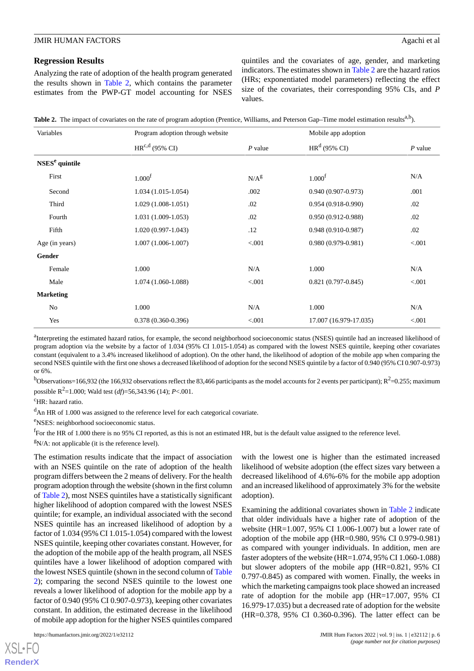#### **Regression Results**

Analyzing the rate of adoption of the health program generated the results shown in [Table 2](#page-5-0), which contains the parameter estimates from the PWP-GT model accounting for NSES quintiles and the covariates of age, gender, and marketing indicators. The estimates shown in [Table 2](#page-5-0) are the hazard ratios (HRs; exponentiated model parameters) reflecting the effect size of the covariates, their corresponding 95% CIs, and *P* values.

<span id="page-5-0"></span>

| Table 2. The impact of covariates on the rate of program adoption (Prentice, Williams, and Peterson Gap-Time model estimation results <sup>a,b</sup> ). |  |  |  |  |  |  |
|---------------------------------------------------------------------------------------------------------------------------------------------------------|--|--|--|--|--|--|
|                                                                                                                                                         |  |  |  |  |  |  |

| Variables        | Program adoption through website |           | Mobile app adoption    |           |  |  |
|------------------|----------------------------------|-----------|------------------------|-----------|--|--|
|                  | $HR^{c,d}$ (95% CI)              | $P$ value | $HRd$ (95% CI)         | $P$ value |  |  |
| $NSESe$ quintile |                                  |           |                        |           |  |  |
| First            | 1.000 <sup>f</sup>               | $N/A^g$   | 1.000 <sup>f</sup>     | N/A       |  |  |
| Second           | $1.034(1.015-1.054)$             | .002      | $0.940(0.907-0.973)$   | .001      |  |  |
| Third            | $1.029(1.008-1.051)$             | .02       | $0.954(0.918-0.990)$   | .02       |  |  |
| Fourth           | $1.031(1.009-1.053)$             | .02       | $0.950(0.912 - 0.988)$ | .02       |  |  |
| Fifth            | $1.020(0.997-1.043)$             | .12       | $0.948(0.910-0.987)$   | .02       |  |  |
| Age (in years)   | $1.007(1.006-1.007)$             | < .001    | $0.980(0.979-0.981)$   | < 0.001   |  |  |
| Gender           |                                  |           |                        |           |  |  |
| Female           | 1.000                            | N/A       | 1.000                  | N/A       |  |  |
| Male             | 1.074 (1.060-1.088)              | < 0.001   | $0.821(0.797-0.845)$   | < 0.001   |  |  |
| <b>Marketing</b> |                                  |           |                        |           |  |  |
| No               | 1.000                            | N/A       | 1.000                  | N/A       |  |  |
| Yes              | $0.378(0.360 - 0.396)$           | < .001    | 17.007 (16.979-17.035) | < .001    |  |  |

<sup>a</sup>Interpreting the estimated hazard ratios, for example, the second neighborhood socioeconomic status (NSES) quintile had an increased likelihood of program adoption via the website by a factor of 1.034 (95% CI 1.015-1.054) as compared with the lowest NSES quintile, keeping other covariates constant (equivalent to a 3.4% increased likelihood of adoption). On the other hand, the likelihood of adoption of the mobile app when comparing the second NSES quintile with the first one shows a decreased likelihood of adoption for the second NSES quintile by a factor of 0.940 (95% CI 0.907-0.973) or 6%.

 $^{b}$ Observations=166,932 (the 166,932 observations reflect the 83,466 participants as the model accounts for 2 events per participant); R<sup>2</sup>=0.255; maximum possible R 2 =1.000; Wald test (*df*)=56,343.96 (14); *P*<.001.

<sup>c</sup>HR: hazard ratio.

<sup>d</sup>An HR of 1.000 was assigned to the reference level for each categorical covariate.

<sup>e</sup>NSES: neighborhood socioeconomic status.

<sup>f</sup>For the HR of 1.000 there is no 95% CI reported, as this is not an estimated HR, but is the default value assigned to the reference level.

 $\text{N/A: not applicable}$  (it is the reference level).

The estimation results indicate that the impact of association with an NSES quintile on the rate of adoption of the health program differs between the 2 means of delivery. For the health program adoption through the website (shown in the first column of [Table 2](#page-5-0)), most NSES quintiles have a statistically significant higher likelihood of adoption compared with the lowest NSES quintile; for example, an individual associated with the second NSES quintile has an increased likelihood of adoption by a factor of 1.034 (95% CI 1.015-1.054) compared with the lowest NSES quintile, keeping other covariates constant. However, for the adoption of the mobile app of the health program, all NSES quintiles have a lower likelihood of adoption compared with the lowest NSES quintile (shown in the second column of [Table](#page-5-0) [2\)](#page-5-0); comparing the second NSES quintile to the lowest one reveals a lower likelihood of adoption for the mobile app by a factor of 0.940 (95% CI 0.907-0.973), keeping other covariates constant. In addition, the estimated decrease in the likelihood of mobile app adoption for the higher NSES quintiles compared

 $XS$  • FO **[RenderX](http://www.renderx.com/)** with the lowest one is higher than the estimated increased likelihood of website adoption (the effect sizes vary between a decreased likelihood of 4.6%-6% for the mobile app adoption and an increased likelihood of approximately 3% for the website adoption).

Examining the additional covariates shown in [Table 2](#page-5-0) indicate that older individuals have a higher rate of adoption of the website (HR=1.007, 95% CI 1.006-1.007) but a lower rate of adoption of the mobile app (HR=0.980, 95% CI 0.979-0.981) as compared with younger individuals. In addition, men are faster adopters of the website (HR=1.074, 95% CI 1.060-1.088) but slower adopters of the mobile app (HR=0.821, 95% CI 0.797-0.845) as compared with women. Finally, the weeks in which the marketing campaigns took place showed an increased rate of adoption for the mobile app (HR=17.007, 95% CI 16.979-17.035) but a decreased rate of adoption for the website (HR=0.378, 95% CI 0.360-0.396). The latter effect can be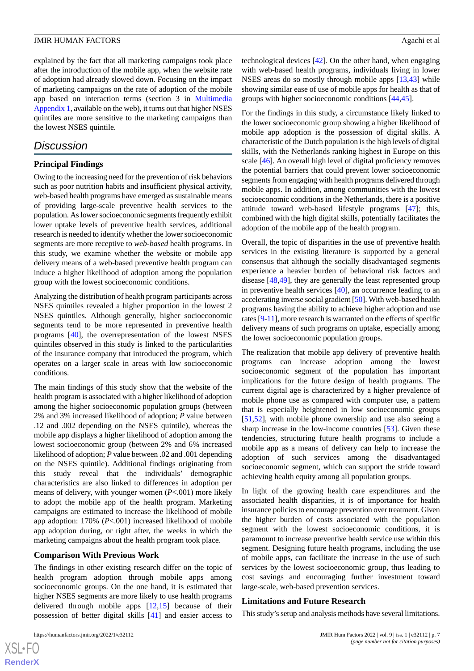explained by the fact that all marketing campaigns took place after the introduction of the mobile app, when the website rate of adoption had already slowed down. Focusing on the impact of marketing campaigns on the rate of adoption of the mobile app based on interaction terms (section 3 in [Multimedia](#page-7-3) [Appendix 1](#page-7-3), available on the web), it turns out that higher NSES quintiles are more sensitive to the marketing campaigns than the lowest NSES quintile.

# *Discussion*

### **Principal Findings**

Owing to the increasing need for the prevention of risk behaviors such as poor nutrition habits and insufficient physical activity, web-based health programs have emerged as sustainable means of providing large-scale preventive health services to the population. As lower socioeconomic segments frequently exhibit lower uptake levels of preventive health services, additional research is needed to identify whether the lower socioeconomic segments are more receptive to *web-based* health programs. In this study, we examine whether the website or mobile app delivery means of a web-based preventive health program can induce a higher likelihood of adoption among the population group with the lowest socioeconomic conditions.

Analyzing the distribution of health program participants across NSES quintiles revealed a higher proportion in the lowest 2 NSES quintiles. Although generally, higher socioeconomic segments tend to be more represented in preventive health programs [[40\]](#page-9-8), the overrepresentation of the lowest NSES quintiles observed in this study is linked to the particularities of the insurance company that introduced the program, which operates on a larger scale in areas with low socioeconomic conditions.

The main findings of this study show that the website of the health program is associated with a higher likelihood of adoption among the higher socioeconomic population groups (between 2% and 3% increased likelihood of adoption; *P* value between .12 and .002 depending on the NSES quintile), whereas the mobile app displays a higher likelihood of adoption among the lowest socioeconomic group (between 2% and 6% increased likelihood of adoption; *P* value between .02 and .001 depending on the NSES quintile). Additional findings originating from this study reveal that the individuals' demographic characteristics are also linked to differences in adoption per means of delivery, with younger women (*P*<.001) more likely to adopt the mobile app of the health program. Marketing campaigns are estimated to increase the likelihood of mobile app adoption: 170% (*P*<.001) increased likelihood of mobile app adoption during, or right after, the weeks in which the marketing campaigns about the health program took place.

#### **Comparison With Previous Work**

The findings in other existing research differ on the topic of health program adoption through mobile apps among socioeconomic groups. On the one hand, it is estimated that higher NSES segments are more likely to use health programs delivered through mobile apps [\[12](#page-8-7),[15\]](#page-8-10) because of their possession of better digital skills [\[41](#page-9-9)] and easier access to

```
https://humanfactors.jmir.org/2022/1/e32112 JMIR Hum Factors 2022 | vol. 9 | iss. 1 | e32112 | p. 7
```
 $XS$  $\cdot$ FC **[RenderX](http://www.renderx.com/)** technological devices [[42\]](#page-9-10). On the other hand, when engaging with web-based health programs, individuals living in lower NSES areas do so mostly through mobile apps [\[13](#page-8-8),[43\]](#page-9-11) while showing similar ease of use of mobile apps for health as that of groups with higher socioeconomic conditions [[44,](#page-9-12)[45](#page-9-13)].

For the findings in this study, a circumstance likely linked to the lower socioeconomic group showing a higher likelihood of mobile app adoption is the possession of digital skills. A characteristic of the Dutch population is the high levels of digital skills, with the Netherlands ranking highest in Europe on this scale [\[46](#page-9-14)]. An overall high level of digital proficiency removes the potential barriers that could prevent lower socioeconomic segments from engaging with health programs delivered through mobile apps. In addition, among communities with the lowest socioeconomic conditions in the Netherlands, there is a positive attitude toward web-based lifestyle programs [[47\]](#page-9-15); this, combined with the high digital skills, potentially facilitates the adoption of the mobile app of the health program.

Overall, the topic of disparities in the use of preventive health services in the existing literature is supported by a general consensus that although the socially disadvantaged segments experience a heavier burden of behavioral risk factors and disease [[48,](#page-9-16)[49](#page-9-17)], they are generally the least represented group in preventive health services [[40\]](#page-9-8), an occurrence leading to an accelerating inverse social gradient [[50\]](#page-9-18). With web-based health programs having the ability to achieve higher adoption and use rates [\[9](#page-8-5)[-11](#page-8-6)], more research is warranted on the effects of specific delivery means of such programs on uptake, especially among the lower socioeconomic population groups.

The realization that mobile app delivery of preventive health programs can increase adoption among the lowest socioeconomic segment of the population has important implications for the future design of health programs. The current digital age is characterized by a higher prevalence of mobile phone use as compared with computer use, a pattern that is especially heightened in low socioeconomic groups [[51,](#page-9-19)[52\]](#page-9-20), with mobile phone ownership and use also seeing a sharp increase in the low-income countries [[53\]](#page-9-21). Given these tendencies, structuring future health programs to include a mobile app as a means of delivery can help to increase the adoption of such services among the disadvantaged socioeconomic segment, which can support the stride toward achieving health equity among all population groups.

In light of the growing health care expenditures and the associated health disparities, it is of importance for health insurance policies to encourage prevention over treatment. Given the higher burden of costs associated with the population segment with the lowest socioeconomic conditions, it is paramount to increase preventive health service use within this segment. Designing future health programs, including the use of mobile apps, can facilitate the increase in the use of such services by the lowest socioeconomic group, thus leading to cost savings and encouraging further investment toward large-scale, web-based prevention services.

#### **Limitations and Future Research**

This study's setup and analysis methods have several limitations.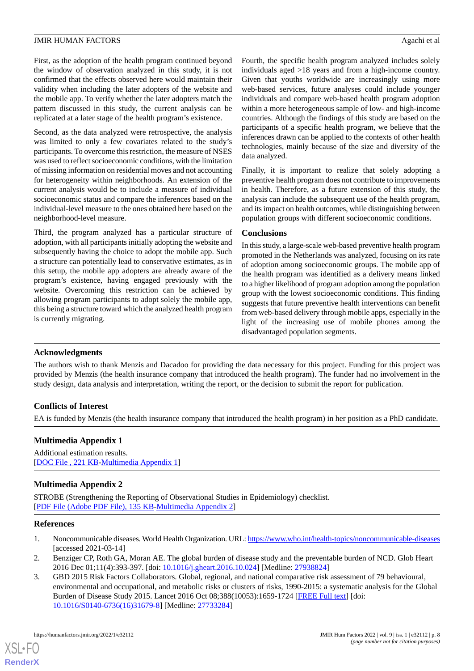First, as the adoption of the health program continued beyond the window of observation analyzed in this study, it is not confirmed that the effects observed here would maintain their validity when including the later adopters of the website and the mobile app. To verify whether the later adopters match the pattern discussed in this study, the current analysis can be replicated at a later stage of the health program's existence.

Second, as the data analyzed were retrospective, the analysis was limited to only a few covariates related to the study's participants. To overcome this restriction, the measure of NSES was used to reflect socioeconomic conditions, with the limitation of missing information on residential moves and not accounting for heterogeneity within neighborhoods. An extension of the current analysis would be to include a measure of individual socioeconomic status and compare the inferences based on the individual-level measure to the ones obtained here based on the neighborhood-level measure.

Third, the program analyzed has a particular structure of adoption, with all participants initially adopting the website and subsequently having the choice to adopt the mobile app. Such a structure can potentially lead to conservative estimates, as in this setup, the mobile app adopters are already aware of the program's existence, having engaged previously with the website. Overcoming this restriction can be achieved by allowing program participants to adopt solely the mobile app, this being a structure toward which the analyzed health program is currently migrating.

Fourth, the specific health program analyzed includes solely individuals aged >18 years and from a high-income country. Given that youths worldwide are increasingly using more web-based services, future analyses could include younger individuals and compare web-based health program adoption within a more heterogeneous sample of low- and high-income countries. Although the findings of this study are based on the participants of a specific health program, we believe that the inferences drawn can be applied to the contexts of other health technologies, mainly because of the size and diversity of the data analyzed.

Finally, it is important to realize that solely adopting a preventive health program does not contribute to improvements in health. Therefore, as a future extension of this study, the analysis can include the subsequent use of the health program, and its impact on health outcomes, while distinguishing between population groups with different socioeconomic conditions.

## **Conclusions**

In this study, a large-scale web-based preventive health program promoted in the Netherlands was analyzed, focusing on its rate of adoption among socioeconomic groups. The mobile app of the health program was identified as a delivery means linked to a higher likelihood of program adoption among the population group with the lowest socioeconomic conditions. This finding suggests that future preventive health interventions can benefit from web-based delivery through mobile apps, especially in the light of the increasing use of mobile phones among the disadvantaged population segments.

#### **Acknowledgments**

The authors wish to thank Menzis and Dacadoo for providing the data necessary for this project. Funding for this project was provided by Menzis (the health insurance company that introduced the health program). The funder had no involvement in the study design, data analysis and interpretation, writing the report, or the decision to submit the report for publication.

# <span id="page-7-3"></span>**Conflicts of Interest**

EA is funded by Menzis (the health insurance company that introduced the health program) in her position as a PhD candidate.

# <span id="page-7-4"></span>**Multimedia Appendix 1**

Additional estimation results. [DOC File, 221 KB-Multimedia Appendix 1]

# <span id="page-7-0"></span>**Multimedia Appendix 2**

<span id="page-7-1"></span>STROBE (Strengthening the Reporting of Observational Studies in Epidemiology) checklist. [[PDF File \(Adobe PDF File\), 135 KB](https://jmir.org/api/download?alt_name=humanfactors_v9i1e32112_app2.pdf&filename=422be9e515afa4f46f6f691615d2020e.pdf)-[Multimedia Appendix 2\]](https://jmir.org/api/download?alt_name=humanfactors_v9i1e32112_app2.pdf&filename=422be9e515afa4f46f6f691615d2020e.pdf)

#### <span id="page-7-2"></span>**References**

[XSL](http://www.w3.org/Style/XSL)•FO **[RenderX](http://www.renderx.com/)**

- 1. Noncommunicable diseases. World Health Organization. URL:<https://www.who.int/health-topics/noncommunicable-diseases> [accessed 2021-03-14]
- 2. Benziger CP, Roth GA, Moran AE. The global burden of disease study and the preventable burden of NCD. Glob Heart 2016 Dec 01;11(4):393-397. [doi: [10.1016/j.gheart.2016.10.024\]](http://dx.doi.org/10.1016/j.gheart.2016.10.024) [Medline: [27938824](http://www.ncbi.nlm.nih.gov/entrez/query.fcgi?cmd=Retrieve&db=PubMed&list_uids=27938824&dopt=Abstract)]
- 3. GBD 2015 Risk Factors Collaborators. Global, regional, and national comparative risk assessment of 79 behavioural, environmental and occupational, and metabolic risks or clusters of risks, 1990-2015: a systematic analysis for the Global Burden of Disease Study 2015. Lancet 2016 Oct 08;388(10053):1659-1724 [\[FREE Full text\]](https://linkinghub.elsevier.com/retrieve/pii/S0140-6736(16)31679-8) [doi: [10.1016/S0140-6736\(16\)31679-8\]](http://dx.doi.org/10.1016/S0140-6736(16)31679-8) [Medline: [27733284](http://www.ncbi.nlm.nih.gov/entrez/query.fcgi?cmd=Retrieve&db=PubMed&list_uids=27733284&dopt=Abstract)]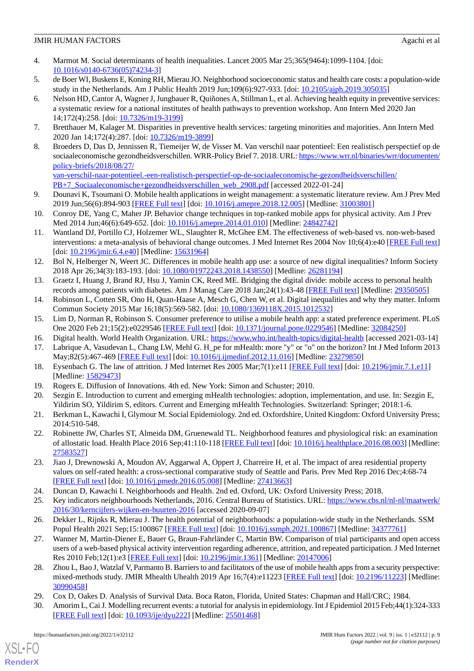- <span id="page-8-0"></span>4. Marmot M. Social determinants of health inequalities. Lancet 2005 Mar 25;365(9464):1099-1104. [doi: [10.1016/s0140-6736\(05\)74234-3](http://dx.doi.org/10.1016/s0140-6736(05)74234-3)]
- <span id="page-8-2"></span><span id="page-8-1"></span>5. de Boer WI, Buskens E, Koning RH, Mierau JO. Neighborhood socioeconomic status and health care costs: a population-wide study in the Netherlands. Am J Public Health 2019 Jun;109(6):927-933. [doi: [10.2105/ajph.2019.305035\]](http://dx.doi.org/10.2105/ajph.2019.305035)
- 6. Nelson HD, Cantor A, Wagner J, Jungbauer R, Quiñones A, Stillman L, et al. Achieving health equity in preventive services: a systematic review for a national institutes of health pathways to prevention workshop. Ann Intern Med 2020 Jan 14;172(4):258. [doi: [10.7326/m19-3199](http://dx.doi.org/10.7326/m19-3199)]
- <span id="page-8-4"></span><span id="page-8-3"></span>7. Bretthauer M, Kalager M. Disparities in preventive health services: targeting minorities and majorities. Ann Intern Med 2020 Jan 14;172(4):287. [doi: [10.7326/m19-3899\]](http://dx.doi.org/10.7326/m19-3899)
- 8. Broeders D, Das D, Jennissen R, Tiemeijer W, de Visser M. Van verschil naar potentieel: Een realistisch perspectief op de sociaaleconomische gezondheidsverschillen. WRR-Policy Brief 7. 2018. URL: [https://www.wrr.nl/binaries/wrr/documenten/](https://www.wrr.nl/binaries/wrr/documenten/policy-briefs/2018/08/27/van-verschil-naar-potentieel.-een-realistisch-perspectief-op-de-sociaaleconomische-gezondheidsverschillen/PB+7_Sociaaleconomische+gezondheidsverschillen_web_2908.pdf) [policy-briefs/2018/08/27/](https://www.wrr.nl/binaries/wrr/documenten/policy-briefs/2018/08/27/van-verschil-naar-potentieel.-een-realistisch-perspectief-op-de-sociaaleconomische-gezondheidsverschillen/PB+7_Sociaaleconomische+gezondheidsverschillen_web_2908.pdf)

[van-verschil-naar-potentieel.-een-realistisch-perspectief-op-de-sociaaleconomische-gezondheidsverschillen/](https://www.wrr.nl/binaries/wrr/documenten/policy-briefs/2018/08/27/van-verschil-naar-potentieel.-een-realistisch-perspectief-op-de-sociaaleconomische-gezondheidsverschillen/PB+7_Sociaaleconomische+gezondheidsverschillen_web_2908.pdf) [PB+7\\_Sociaaleconomische+gezondheidsverschillen\\_web\\_2908.pdf](https://www.wrr.nl/binaries/wrr/documenten/policy-briefs/2018/08/27/van-verschil-naar-potentieel.-een-realistisch-perspectief-op-de-sociaaleconomische-gezondheidsverschillen/PB+7_Sociaaleconomische+gezondheidsverschillen_web_2908.pdf) [accessed 2022-01-24]

- <span id="page-8-5"></span>9. Dounavi K, Tsoumani O. Mobile health applications in weight management: a systematic literature review. Am J Prev Med 2019 Jun;56(6):894-903 [\[FREE Full text\]](https://linkinghub.elsevier.com/retrieve/pii/S0749-3797(19)30025-X) [doi: [10.1016/j.amepre.2018.12.005](http://dx.doi.org/10.1016/j.amepre.2018.12.005)] [Medline: [31003801](http://www.ncbi.nlm.nih.gov/entrez/query.fcgi?cmd=Retrieve&db=PubMed&list_uids=31003801&dopt=Abstract)]
- <span id="page-8-6"></span>10. Conroy DE, Yang C, Maher JP. Behavior change techniques in top-ranked mobile apps for physical activity. Am J Prev Med 2014 Jun;46(6):649-652. [doi: [10.1016/j.amepre.2014.01.010](http://dx.doi.org/10.1016/j.amepre.2014.01.010)] [Medline: [24842742\]](http://www.ncbi.nlm.nih.gov/entrez/query.fcgi?cmd=Retrieve&db=PubMed&list_uids=24842742&dopt=Abstract)
- <span id="page-8-7"></span>11. Wantland DJ, Portillo CJ, Holzemer WL, Slaughter R, McGhee EM. The effectiveness of web-based vs. non-web-based interventions: a meta-analysis of behavioral change outcomes. J Med Internet Res 2004 Nov 10;6(4):e40 [\[FREE Full text](http://www.jmir.org/2004/4/e40/)] [doi: <u>[10.2196/jmir.6.4.e40](http://dx.doi.org/10.2196/jmir.6.4.e40)</u>] [Medline: [15631964](http://www.ncbi.nlm.nih.gov/entrez/query.fcgi?cmd=Retrieve&db=PubMed&list_uids=15631964&dopt=Abstract)]
- <span id="page-8-9"></span><span id="page-8-8"></span>12. Bol N, Helberger N, Weert JC. Differences in mobile health app use: a source of new digital inequalities? Inform Society 2018 Apr 26;34(3):183-193. [doi: [10.1080/01972243.2018.1438550](http://dx.doi.org/10.1080/01972243.2018.1438550)] [Medline: [26281194](http://www.ncbi.nlm.nih.gov/entrez/query.fcgi?cmd=Retrieve&db=PubMed&list_uids=26281194&dopt=Abstract)]
- <span id="page-8-10"></span>13. Graetz I, Huang J, Brand RJ, Hsu J, Yamin CK, Reed ME. Bridging the digital divide: mobile access to personal health records among patients with diabetes. Am J Manag Care 2018 Jan;24(1):43-48 [[FREE Full text](https://www.ajmc.com/pubMed.php?pii=87412)] [Medline: [29350505\]](http://www.ncbi.nlm.nih.gov/entrez/query.fcgi?cmd=Retrieve&db=PubMed&list_uids=29350505&dopt=Abstract)
- <span id="page-8-11"></span>14. Robinson L, Cotten SR, Ono H, Quan-Haase A, Mesch G, Chen W, et al. Digital inequalities and why they matter. Inform Commun Society 2015 Mar 16;18(5):569-582. [doi: [10.1080/1369118X.2015.1012532\]](http://dx.doi.org/10.1080/1369118X.2015.1012532)
- <span id="page-8-12"></span>15. Lim D, Norman R, Robinson S. Consumer preference to utilise a mobile health app: a stated preference experiment. PLoS One 2020 Feb 21;15(2):e0229546 [\[FREE Full text\]](https://dx.plos.org/10.1371/journal.pone.0229546) [doi: [10.1371/journal.pone.0229546\]](http://dx.doi.org/10.1371/journal.pone.0229546) [Medline: [32084250\]](http://www.ncbi.nlm.nih.gov/entrez/query.fcgi?cmd=Retrieve&db=PubMed&list_uids=32084250&dopt=Abstract)
- <span id="page-8-13"></span>16. Digital health. World Health Organization. URL: <https://www.who.int/health-topics/digital-health> [accessed 2021-03-14]
- <span id="page-8-15"></span><span id="page-8-14"></span>17. Labrique A, Vasudevan L, Chang LW, Mehl G. H\_pe for mHealth: more "y" or "o" on the horizon? Int J Med Inform 2013 May;82(5):467-469 [\[FREE Full text\]](http://europepmc.org/abstract/MED/23279850) [doi: [10.1016/j.ijmedinf.2012.11.016\]](http://dx.doi.org/10.1016/j.ijmedinf.2012.11.016) [Medline: [23279850\]](http://www.ncbi.nlm.nih.gov/entrez/query.fcgi?cmd=Retrieve&db=PubMed&list_uids=23279850&dopt=Abstract)
- <span id="page-8-16"></span>18. Eysenbach G. The law of attrition. J Med Internet Res 2005 Mar;7(1):e11 [[FREE Full text](http://www.jmir.org/2005/1/e11/)] [doi: [10.2196/jmir.7.1.e11\]](http://dx.doi.org/10.2196/jmir.7.1.e11) [Medline: [15829473](http://www.ncbi.nlm.nih.gov/entrez/query.fcgi?cmd=Retrieve&db=PubMed&list_uids=15829473&dopt=Abstract)]
- 19. Rogers E. Diffusion of Innovations. 4th ed. New York: Simon and Schuster; 2010.
- <span id="page-8-17"></span>20. Sezgin E. Introduction to current and emerging mHealth technologies: adoption, implementation, and use. In: Sezgin E, Yildirim SO, Yildirim S, editors. Current and Emerging mHealth Technologies. Switzerland: Springer; 2018:1-6.
- <span id="page-8-18"></span>21. Berkman L, Kawachi I, Glymour M. Social Epidemiology. 2nd ed. Oxfordshire, United Kingdom: Oxford University Press; 2014:510-548.
- <span id="page-8-19"></span>22. Robinette JW, Charles ST, Almeida DM, Gruenewald TL. Neighborhood features and physiological risk: an examination of allostatic load. Health Place 2016 Sep;41:110-118 [\[FREE Full text](http://europepmc.org/abstract/MED/27583527)] [doi: [10.1016/j.healthplace.2016.08.003\]](http://dx.doi.org/10.1016/j.healthplace.2016.08.003) [Medline: [27583527](http://www.ncbi.nlm.nih.gov/entrez/query.fcgi?cmd=Retrieve&db=PubMed&list_uids=27583527&dopt=Abstract)]
- <span id="page-8-21"></span><span id="page-8-20"></span>23. Jiao J, Drewnowski A, Moudon AV, Aggarwal A, Oppert J, Charreire H, et al. The impact of area residential property values on self-rated health: a cross-sectional comparative study of Seattle and Paris. Prev Med Rep 2016 Dec;4:68-74 [[FREE Full text](https://linkinghub.elsevier.com/retrieve/pii/S2211-3355(16)30038-9)] [doi: [10.1016/j.pmedr.2016.05.008\]](http://dx.doi.org/10.1016/j.pmedr.2016.05.008) [Medline: [27413663](http://www.ncbi.nlm.nih.gov/entrez/query.fcgi?cmd=Retrieve&db=PubMed&list_uids=27413663&dopt=Abstract)]
- <span id="page-8-22"></span>24. Duncan D, Kawachi I. Neighborhoods and Health. 2nd ed. Oxford, UK: Oxford University Press; 2018.
- 25. Key indicators neighbourhoods Netherlands, 2016. Central Bureau of Statistics. URL: [https://www.cbs.nl/nl-nl/maatwerk/](https://www.cbs.nl/nl-nl/maatwerk/2016/30/kerncijfers-wijken-en-buurten-2016) [2016/30/kerncijfers-wijken-en-buurten-2016](https://www.cbs.nl/nl-nl/maatwerk/2016/30/kerncijfers-wijken-en-buurten-2016) [accessed 2020-09-07]
- <span id="page-8-23"></span>26. Dekker L, Rijnks R, Mierau J. The health potential of neighborhoods: a population-wide study in the Netherlands. SSM Popul Health 2021 Sep;15:100867 [\[FREE Full text\]](https://linkinghub.elsevier.com/retrieve/pii/S2352-8273(21)00142-7) [doi: [10.1016/j.ssmph.2021.100867](http://dx.doi.org/10.1016/j.ssmph.2021.100867)] [Medline: [34377761\]](http://www.ncbi.nlm.nih.gov/entrez/query.fcgi?cmd=Retrieve&db=PubMed&list_uids=34377761&dopt=Abstract)
- <span id="page-8-25"></span><span id="page-8-24"></span>27. Wanner M, Martin-Diener E, Bauer G, Braun-Fahrländer C, Martin BW. Comparison of trial participants and open access users of a web-based physical activity intervention regarding adherence, attrition, and repeated participation. J Med Internet Res 2010 Feb;12(1):e3 [\[FREE Full text](http://www.jmir.org/2010/1/e3/)] [doi: [10.2196/jmir.1361\]](http://dx.doi.org/10.2196/jmir.1361) [Medline: [20147006](http://www.ncbi.nlm.nih.gov/entrez/query.fcgi?cmd=Retrieve&db=PubMed&list_uids=20147006&dopt=Abstract)]
- 28. Zhou L, Bao J, Watzlaf V, Parmanto B. Barriers to and facilitators of the use of mobile health apps from a security perspective: mixed-methods study. JMIR Mhealth Uhealth 2019 Apr 16;7(4):e11223 [[FREE Full text](https://mhealth.jmir.org/2019/4/e11223/)] [doi: [10.2196/11223\]](http://dx.doi.org/10.2196/11223) [Medline: [30990458](http://www.ncbi.nlm.nih.gov/entrez/query.fcgi?cmd=Retrieve&db=PubMed&list_uids=30990458&dopt=Abstract)]
- 29. Cox D, Oakes D. Analysis of Survival Data. Boca Raton, Florida, United States: Chapman and Hall/CRC; 1984.
- 30. Amorim L, Cai J. Modelling recurrent events: a tutorial for analysis in epidemiology. Int J Epidemiol 2015 Feb;44(1):324-333 [[FREE Full text](http://europepmc.org/abstract/MED/25501468)] [doi: [10.1093/ije/dyu222\]](http://dx.doi.org/10.1093/ije/dyu222) [Medline: [25501468](http://www.ncbi.nlm.nih.gov/entrez/query.fcgi?cmd=Retrieve&db=PubMed&list_uids=25501468&dopt=Abstract)]

[XSL](http://www.w3.org/Style/XSL)•FO **[RenderX](http://www.renderx.com/)**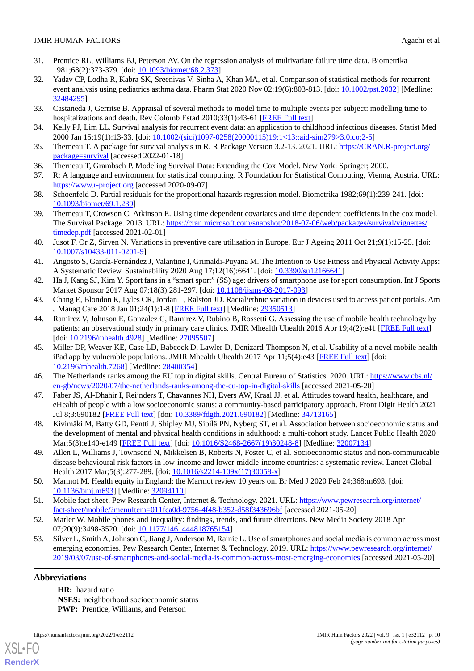- 31. Prentice RL, Williams BJ, Peterson AV. On the regression analysis of multivariate failure time data. Biometrika 1981;68(2):373-379. [doi: [10.1093/biomet/68.2.373](http://dx.doi.org/10.1093/biomet/68.2.373)]
- <span id="page-9-0"></span>32. Yadav CP, Lodha R, Kabra SK, Sreenivas V, Sinha A, Khan MA, et al. Comparison of statistical methods for recurrent event analysis using pediatrics asthma data. Pharm Stat 2020 Nov 02;19(6):803-813. [doi: [10.1002/pst.2032](http://dx.doi.org/10.1002/pst.2032)] [Medline: [32484295](http://www.ncbi.nlm.nih.gov/entrez/query.fcgi?cmd=Retrieve&db=PubMed&list_uids=32484295&dopt=Abstract)]
- <span id="page-9-2"></span><span id="page-9-1"></span>33. Castañeda J, Gerritse B. Appraisal of several methods to model time to multiple events per subject: modelling time to hospitalizations and death. Rev Colomb Estad 2010;33(1):43-61 [[FREE Full text](http://ref.scielo.org/vpb4f4)]
- <span id="page-9-3"></span>34. Kelly PJ, Lim LL. Survival analysis for recurrent event data: an application to childhood infectious diseases. Statist Med 2000 Jan 15;19(1):13-33. [doi: [10.1002/\(sici\)1097-0258\(20000115\)19:1<13::aid-sim279>3.0.co;2-5\]](http://dx.doi.org/10.1002/(sici)1097-0258(20000115)19:1<13::aid-sim279>3.0.co;2-5)
- <span id="page-9-4"></span>35. Therneau T. A package for survival analysis in R. R Package Version 3.2-13. 2021. URL: [https://CRAN.R-project.org/](https://CRAN.R-project.org/package=survival) [package=survival](https://CRAN.R-project.org/package=survival) [accessed 2022-01-18]
- <span id="page-9-5"></span>36. Therneau T, Grambsch P. Modeling Survival Data: Extending the Cox Model. New York: Springer; 2000.
- <span id="page-9-6"></span>37. R: A language and environment for statistical computing. R Foundation for Statistical Computing, Vienna, Austria. URL: <https://www.r-project.org> [accessed 2020-09-07]
- <span id="page-9-7"></span>38. Schoenfeld D. Partial residuals for the proportional hazards regression model. Biometrika 1982;69(1):239-241. [doi: [10.1093/biomet/69.1.239](http://dx.doi.org/10.1093/biomet/69.1.239)]
- <span id="page-9-8"></span>39. Therneau T, Crowson C, Atkinson E. Using time dependent covariates and time dependent coefficients in the cox model. The Survival Package. 2013. URL: [https://cran.microsoft.com/snapshot/2018-07-06/web/packages/survival/vignettes/](https://cran.microsoft.com/snapshot/2018-07-06/web/packages/survival/vignettes/timedep.pdf) [timedep.pdf](https://cran.microsoft.com/snapshot/2018-07-06/web/packages/survival/vignettes/timedep.pdf) [accessed 2021-02-01]
- <span id="page-9-9"></span>40. Jusot F, Or Z, Sirven N. Variations in preventive care utilisation in Europe. Eur J Ageing 2011 Oct 21;9(1):15-25. [doi: [10.1007/s10433-011-0201-9\]](http://dx.doi.org/10.1007/s10433-011-0201-9)
- <span id="page-9-11"></span><span id="page-9-10"></span>41. Angosto S, García-Fernández J, Valantine I, Grimaldi-Puyana M. The Intention to Use Fitness and Physical Activity Apps: A Systematic Review. Sustainability 2020 Aug 17;12(16):6641. [doi: [10.3390/su12166641\]](http://dx.doi.org/10.3390/su12166641)
- <span id="page-9-12"></span>42. Ha J, Kang SJ, Kim Y. Sport fans in a "smart sport" (SS) age: drivers of smartphone use for sport consumption. Int J Sports Market Sponsor 2017 Aug 07;18(3):281-297. [doi: [10.1108/ijsms-08-2017-093\]](http://dx.doi.org/10.1108/ijsms-08-2017-093)
- 43. Chang E, Blondon K, Lyles CR, Jordan L, Ralston JD. Racial/ethnic variation in devices used to access patient portals. Am J Manag Care 2018 Jan 01;24(1):1-8 [\[FREE Full text\]](https://www.ajmc.com/pubMed.php?pii=87420) [Medline: [29350513\]](http://www.ncbi.nlm.nih.gov/entrez/query.fcgi?cmd=Retrieve&db=PubMed&list_uids=29350513&dopt=Abstract)
- <span id="page-9-13"></span>44. Ramirez V, Johnson E, Gonzalez C, Ramirez V, Rubino B, Rossetti G. Assessing the use of mobile health technology by patients: an observational study in primary care clinics. JMIR Mhealth Uhealth 2016 Apr 19;4(2):e41 [\[FREE Full text\]](http://mhealth.jmir.org/2016/2/e41/) [doi: [10.2196/mhealth.4928\]](http://dx.doi.org/10.2196/mhealth.4928) [Medline: [27095507\]](http://www.ncbi.nlm.nih.gov/entrez/query.fcgi?cmd=Retrieve&db=PubMed&list_uids=27095507&dopt=Abstract)
- <span id="page-9-15"></span><span id="page-9-14"></span>45. Miller DP, Weaver KE, Case LD, Babcock D, Lawler D, Denizard-Thompson N, et al. Usability of a novel mobile health iPad app by vulnerable populations. JMIR Mhealth Uhealth 2017 Apr 11;5(4):e43 [[FREE Full text](https://mhealth.jmir.org/2017/4/e43/)] [doi: [10.2196/mhealth.7268](http://dx.doi.org/10.2196/mhealth.7268)] [Medline: [28400354](http://www.ncbi.nlm.nih.gov/entrez/query.fcgi?cmd=Retrieve&db=PubMed&list_uids=28400354&dopt=Abstract)]
- <span id="page-9-16"></span>46. The Netherlands ranks among the EU top in digital skills. Central Bureau of Statistics. 2020. URL: [https://www.cbs.nl/](https://www.cbs.nl/en-gb/news/2020/07/the-netherlands-ranks-among-the-eu-top-in-digital-skills) [en-gb/news/2020/07/the-netherlands-ranks-among-the-eu-top-in-digital-skills](https://www.cbs.nl/en-gb/news/2020/07/the-netherlands-ranks-among-the-eu-top-in-digital-skills) [accessed 2021-05-20]
- <span id="page-9-17"></span>47. Faber JS, Al-Dhahir I, Reijnders T, Chavannes NH, Evers AW, Kraal JJ, et al. Attitudes toward health, healthcare, and eHealth of people with a low socioeconomic status: a community-based participatory approach. Front Digit Health 2021 Jul 8;3:690182 [\[FREE Full text](http://europepmc.org/abstract/MED/34713165)] [doi: [10.3389/fdgth.2021.690182](http://dx.doi.org/10.3389/fdgth.2021.690182)] [Medline: [34713165\]](http://www.ncbi.nlm.nih.gov/entrez/query.fcgi?cmd=Retrieve&db=PubMed&list_uids=34713165&dopt=Abstract)
- <span id="page-9-18"></span>48. Kivimäki M, Batty GD, Pentti J, Shipley MJ, Sipilä PN, Nyberg ST, et al. Association between socioeconomic status and the development of mental and physical health conditions in adulthood: a multi-cohort study. Lancet Public Health 2020 Mar;5(3):e140-e149 [\[FREE Full text\]](https://linkinghub.elsevier.com/retrieve/pii/S2468-2667(19)30248-8) [doi: [10.1016/S2468-2667\(19\)30248-8](http://dx.doi.org/10.1016/S2468-2667(19)30248-8)] [Medline: [32007134](http://www.ncbi.nlm.nih.gov/entrez/query.fcgi?cmd=Retrieve&db=PubMed&list_uids=32007134&dopt=Abstract)]
- <span id="page-9-19"></span>49. Allen L, Williams J, Townsend N, Mikkelsen B, Roberts N, Foster C, et al. Socioeconomic status and non-communicable disease behavioural risk factors in low-income and lower-middle-income countries: a systematic review. Lancet Global Health 2017 Mar;5(3):277-289. [doi: [10.1016/s2214-109x\(17\)30058-x](http://dx.doi.org/10.1016/s2214-109x(17)30058-x)]
- <span id="page-9-21"></span><span id="page-9-20"></span>50. Marmot M. Health equity in England: the Marmot review 10 years on. Br Med J 2020 Feb 24;368:m693. [doi: [10.1136/bmj.m693\]](http://dx.doi.org/10.1136/bmj.m693) [Medline: [32094110](http://www.ncbi.nlm.nih.gov/entrez/query.fcgi?cmd=Retrieve&db=PubMed&list_uids=32094110&dopt=Abstract)]
- 51. Mobile fact sheet. Pew Research Center, Internet & Technology. 2021. URL: [https://www.pewresearch.org/internet/](https://www.pewresearch.org/internet/fact-sheet/mobile/?menuItem=011fca0d-9756-4f48-b352-d58f343696bf) [fact-sheet/mobile/?menuItem=011fca0d-9756-4f48-b352-d58f343696bf](https://www.pewresearch.org/internet/fact-sheet/mobile/?menuItem=011fca0d-9756-4f48-b352-d58f343696bf) [accessed 2021-05-20]
- 52. Marler W. Mobile phones and inequality: findings, trends, and future directions. New Media Society 2018 Apr 07;20(9):3498-3520. [doi: [10.1177/1461444818765154\]](http://dx.doi.org/10.1177/1461444818765154)
- 53. Silver L, Smith A, Johnson C, Jiang J, Anderson M, Rainie L. Use of smartphones and social media is common across most emerging economies. Pew Research Center, Internet & Technology. 2019. URL: [https://www.pewresearch.org/internet/](https://www.pewresearch.org/internet/2019/03/07/use-of-smartphones-and-social-media-is-common-across-most-emerging-economies) [2019/03/07/use-of-smartphones-and-social-media-is-common-across-most-emerging-economies](https://www.pewresearch.org/internet/2019/03/07/use-of-smartphones-and-social-media-is-common-across-most-emerging-economies) [accessed 2021-05-20]

# **Abbreviations**

[XSL](http://www.w3.org/Style/XSL)•FO **[RenderX](http://www.renderx.com/)**

**HR:** hazard ratio **NSES:** neighborhood socioeconomic status **PWP:** Prentice, Williams, and Peterson